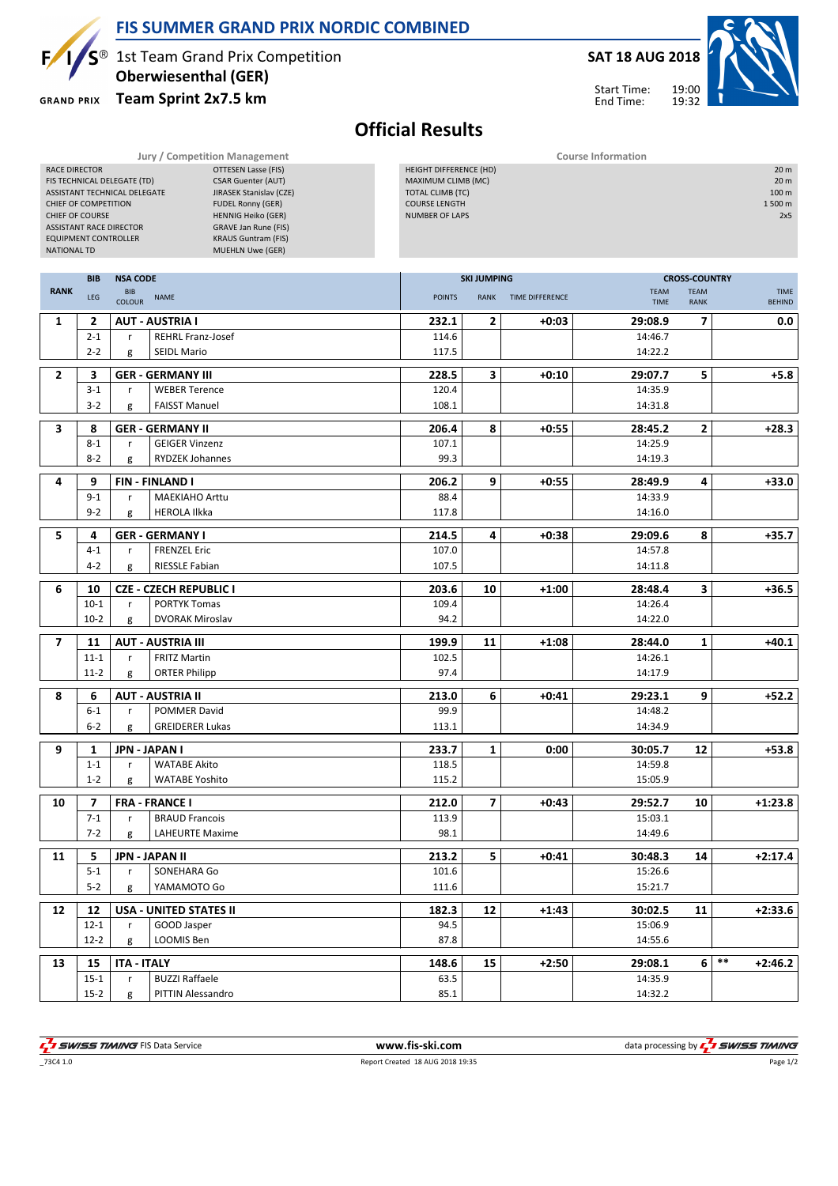

#### FIS SUMMER GRAND PRIX NORDIC COMBINED

1st Team Grand Prix Competition Oberwiesenthal (GER)

**GRAND PRIX** 

#### Team Sprint 2x7.5 km

# SAT 18 AUG 2018

Start Time: End Time:



Official Results

|                                           | Jury / Competition Management | <b>Course Information</b>                          |                            |                  |  |  |  |  |  |
|-------------------------------------------|-------------------------------|----------------------------------------------------|----------------------------|------------------|--|--|--|--|--|
| <b>RACE DIRECTOR</b>                      | OTTESEN Lasse (FIS)           | HEIGHT DIFFERENCE (HD)                             |                            | 20 <sub>m</sub>  |  |  |  |  |  |
| FIS TECHNICAL DELEGATE (TD)               | <b>CSAR Guenter (AUT)</b>     | MAXIMUM CLIMB (MC)                                 |                            | 20 <sub>m</sub>  |  |  |  |  |  |
| ASSISTANT TECHNICAL DELEGATE              | JIRASEK Stanislav (CZE)       | <b>TOTAL CLIMB (TC)</b>                            |                            | 100 <sub>m</sub> |  |  |  |  |  |
| CHIEF OF COMPETITION                      | <b>FUDEL Ronny (GER)</b>      | <b>COURSE LENGTH</b>                               |                            | 1500 m           |  |  |  |  |  |
| CHIEF OF COURSE                           | <b>HENNIG Heiko (GER)</b>     | <b>NUMBER OF LAPS</b>                              |                            |                  |  |  |  |  |  |
| <b>ASSISTANT RACE DIRECTOR</b>            | GRAVE Jan Rune (FIS)          |                                                    |                            |                  |  |  |  |  |  |
| <b>EQUIPMENT CONTROLLER</b>               | <b>KRAUS Guntram (FIS)</b>    |                                                    |                            |                  |  |  |  |  |  |
| <b>NATIONAL TD</b>                        | <b>MUEHLN Uwe (GER)</b>       |                                                    |                            |                  |  |  |  |  |  |
|                                           |                               |                                                    |                            |                  |  |  |  |  |  |
| <b>BIB</b><br><b>NSA CODE</b>             |                               | <b>SKI JUMPING</b>                                 | <b>CROSS-COUNTRY</b>       |                  |  |  |  |  |  |
| <b>RANK</b>                               |                               |                                                    |                            |                  |  |  |  |  |  |
| <b>BIB</b><br>10 <sup>2</sup><br>ALA A AP |                               | <b>DOISITS</b><br>TILLE DIFFERENCE<br><b>DANIE</b> | <b>TEAM</b><br><b>TEAM</b> | <b>TIME</b>      |  |  |  |  |  |

| <b>RANK</b> | LEG                | BIB<br>COLOUR NAME |                                                 | <b>POINTS</b> | RANK           | TIME DIFFERENCE | <b>TEAM</b><br>TIME | <b>TEAM</b><br><b>RANK</b> |       | <b>TIME</b><br><b>BEHIND</b> |
|-------------|--------------------|--------------------|-------------------------------------------------|---------------|----------------|-----------------|---------------------|----------------------------|-------|------------------------------|
| 1           | $\overline{2}$     |                    | <b>AUT - AUSTRIA I</b>                          | 232.1         | 2              | $+0:03$         | 29:08.9             | $\overline{7}$             |       | 0.0                          |
|             | $2 - 1$            | r                  | <b>REHRL Franz-Josef</b>                        | 114.6         |                |                 | 14:46.7             |                            |       |                              |
|             | $2 - 2$            | g                  | <b>SEIDL Mario</b>                              | 117.5         |                |                 | 14:22.2             |                            |       |                              |
| 2           | 3                  |                    | <b>GER - GERMANY III</b>                        | 228.5         | 3              | $+0:10$         | 29:07.7             | 5                          |       | $+5.8$                       |
|             | $3 - 1$            | r                  | <b>WEBER Terence</b>                            | 120.4         |                |                 | 14:35.9             |                            |       |                              |
|             | $3 - 2$            | g                  | <b>FAISST Manuel</b>                            | 108.1         |                |                 | 14:31.8             |                            |       |                              |
|             |                    |                    |                                                 |               |                |                 |                     |                            |       |                              |
| 3           | 8                  |                    | <b>GER - GERMANY II</b>                         | 206.4         | 8              | $+0:55$         | 28:45.2             | $\overline{\mathbf{2}}$    |       | $+28.3$                      |
|             | $8 - 1$<br>$8 - 2$ | r                  | <b>GEIGER Vinzenz</b><br><b>RYDZEK Johannes</b> | 107.1<br>99.3 |                |                 | 14:25.9<br>14:19.3  |                            |       |                              |
|             |                    | g                  |                                                 |               |                |                 |                     |                            |       |                              |
| 4           | 9                  |                    | <b>FIN-FINLAND I</b>                            | 206.2         | 9              | $+0:55$         | 28:49.9             | 4                          |       | $+33.0$                      |
|             | $9 - 1$            | $\mathsf{r}$       | <b>MAEKIAHO Arttu</b>                           | 88.4          |                |                 | 14:33.9             |                            |       |                              |
|             | $9 - 2$            | g                  | <b>HEROLA Ilkka</b>                             | 117.8         |                |                 | 14:16.0             |                            |       |                              |
| 5           | 4                  |                    | <b>GER - GERMANY I</b>                          | 214.5         | 4              | $+0:38$         | 29:09.6             | 8                          |       | $+35.7$                      |
|             | $4 - 1$            | $\mathsf{r}$       | <b>FRENZEL Eric</b>                             | 107.0         |                |                 | 14:57.8             |                            |       |                              |
|             | $4 - 2$            | g                  | <b>RIESSLE Fabian</b>                           | 107.5         |                |                 | 14:11.8             |                            |       |                              |
| 6           | 10                 |                    | <b>CZE - CZECH REPUBLIC I</b>                   | 203.6         | 10             | $+1:00$         | 28:48.4             | $\overline{\mathbf{3}}$    |       | $+36.5$                      |
|             | $10-1$             | $\mathsf{r}$       | <b>PORTYK Tomas</b>                             | 109.4         |                |                 | 14:26.4             |                            |       |                              |
|             | $10-2$             | g                  | <b>DVORAK Miroslav</b>                          | 94.2          |                |                 | 14:22.0             |                            |       |                              |
|             |                    |                    |                                                 |               |                |                 |                     |                            |       |                              |
| 7           | 11                 |                    | <b>AUT - AUSTRIA III</b>                        | 199.9         | 11             | $+1:08$         | 28:44.0             | 1                          |       | $+40.1$                      |
|             | $11 - 1$           | $\mathsf{r}$       | <b>FRITZ Martin</b>                             | 102.5         |                |                 | 14:26.1             |                            |       |                              |
|             | $11-2$             | g                  | <b>ORTER Philipp</b>                            | 97.4          |                |                 | 14:17.9             |                            |       |                              |
| 8           | 6                  |                    | <b>AUT - AUSTRIA II</b>                         | 213.0         | 6              | $+0:41$         | 29:23.1             | 9                          |       | $+52.2$                      |
|             | $6 - 1$            | r                  | <b>POMMER David</b>                             | 99.9          |                |                 | 14:48.2             |                            |       |                              |
|             | $6 - 2$            | g                  | <b>GREIDERER Lukas</b>                          | 113.1         |                |                 | 14:34.9             |                            |       |                              |
| 9           | 1                  |                    | <b>JPN - JAPAN I</b>                            | 233.7         | 1              | 0:00            | 30:05.7             | 12                         |       | $+53.8$                      |
|             | $1 - 1$            | $\mathsf{r}$       | <b>WATABE Akito</b>                             | 118.5         |                |                 | 14:59.8             |                            |       |                              |
|             | $1 - 2$            | g                  | <b>WATABE Yoshito</b>                           | 115.2         |                |                 | 15:05.9             |                            |       |                              |
| 10          | $\overline{7}$     |                    | <b>FRA - FRANCE I</b>                           | 212.0         | $\overline{7}$ | $+0:43$         | 29:52.7             | 10                         |       | $+1:23.8$                    |
|             | $7 - 1$            | r                  | <b>BRAUD Francois</b>                           | 113.9         |                |                 | 15:03.1             |                            |       |                              |
|             | $7 - 2$            | g                  | <b>LAHEURTE Maxime</b>                          | 98.1          |                |                 | 14:49.6             |                            |       |                              |
|             |                    |                    |                                                 |               |                |                 |                     |                            |       |                              |
| 11          | 5                  |                    | JPN - JAPAN II                                  | 213.2         | 5              | $+0:41$         | 30:48.3             | 14                         |       | $+2:17.4$                    |
|             | $5 - 1$            | r                  | SONEHARA Go                                     | 101.6         |                |                 | 15:26.6             |                            |       |                              |
|             | $5 - 2$            | g                  | YAMAMOTO Go                                     | 111.6         |                |                 | 15:21.7             |                            |       |                              |
| 12          | 12                 |                    | <b>USA - UNITED STATES II</b>                   | 182.3         | 12             | $+1:43$         | 30:02.5             | 11                         |       | $+2:33.6$                    |
|             | $12 - 1$           | r                  | GOOD Jasper                                     | 94.5          |                |                 | 15:06.9             |                            |       |                              |
|             | $12 - 2$           | g                  | LOOMIS Ben                                      | 87.8          |                |                 | 14:55.6             |                            |       |                              |
| 13          | 15                 | <b>ITA - ITALY</b> |                                                 | 148.6         | 15             | $+2:50$         | 29:08.1             | 6 I                        | $***$ | $+2:46.2$                    |
|             | $15 - 1$           | $\mathsf{r}$       | <b>BUZZI Raffaele</b>                           | 63.5          |                |                 | 14:35.9             |                            |       |                              |
|             | $15 - 2$           | g                  | <b>PITTIN Alessandro</b>                        | 85.1          |                |                 | 14:32.2             |                            |       |                              |
|             |                    |                    |                                                 |               |                |                 |                     |                            |       |                              |

\_73C4 1.0 Report Created 18 AUG 2018 19:35